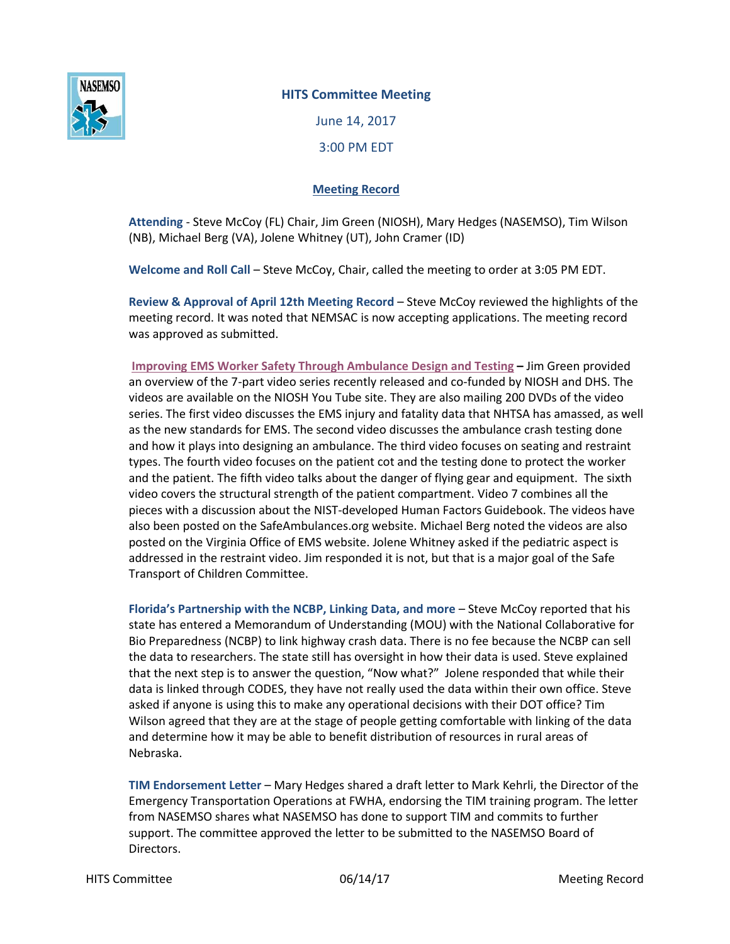

## **HITS Committee Meeting**

June 14, 2017 3:00 PM EDT

## **Meeting Record**

**Attending** - Steve McCoy (FL) Chair, Jim Green (NIOSH), Mary Hedges (NASEMSO), Tim Wilson (NB), Michael Berg (VA), Jolene Whitney (UT), John Cramer (ID)

**Welcome and Roll Call** – Steve McCoy, Chair, called the meeting to order at 3:05 PM EDT.

**Review & Approval of April 12th Meeting Record** – Steve McCoy reviewed the highlights of the meeting record. It was noted that NEMSAC is now accepting applications. The meeting record was approved as submitted.

**[Improving EMS Worker Safety Through Ambulance Design and Testing](https://www.cdc.gov/niosh/topics/ems/videos.html?s_cid=3ni7d2_ColleagueEmail) –** Jim Green provided an overview of the 7-part video series recently released and co-funded by NIOSH and DHS. The videos are available on the NIOSH You Tube site. They are also mailing 200 DVDs of the video series. The first video discusses the EMS injury and fatality data that NHTSA has amassed, as well as the new standards for EMS. The second video discusses the ambulance crash testing done and how it plays into designing an ambulance. The third video focuses on seating and restraint types. The fourth video focuses on the patient cot and the testing done to protect the worker and the patient. The fifth video talks about the danger of flying gear and equipment. The sixth video covers the structural strength of the patient compartment. Video 7 combines all the pieces with a discussion about the NIST-developed Human Factors Guidebook. The videos have also been posted on the SafeAmbulances.org website. Michael Berg noted the videos are also posted on the Virginia Office of EMS website. Jolene Whitney asked if the pediatric aspect is addressed in the restraint video. Jim responded it is not, but that is a major goal of the Safe Transport of Children Committee.

**Florida's Partnership with the NCBP, Linking Data, and more** – Steve McCoy reported that his state has entered a Memorandum of Understanding (MOU) with the National Collaborative for Bio Preparedness (NCBP) to link highway crash data. There is no fee because the NCBP can sell the data to researchers. The state still has oversight in how their data is used. Steve explained that the next step is to answer the question, "Now what?" Jolene responded that while their data is linked through CODES, they have not really used the data within their own office. Steve asked if anyone is using this to make any operational decisions with their DOT office? Tim Wilson agreed that they are at the stage of people getting comfortable with linking of the data and determine how it may be able to benefit distribution of resources in rural areas of Nebraska.

**TIM Endorsement Letter** – Mary Hedges shared a draft letter to Mark Kehrli, the Director of the Emergency Transportation Operations at FWHA, endorsing the TIM training program. The letter from NASEMSO shares what NASEMSO has done to support TIM and commits to further support. The committee approved the letter to be submitted to the NASEMSO Board of Directors.